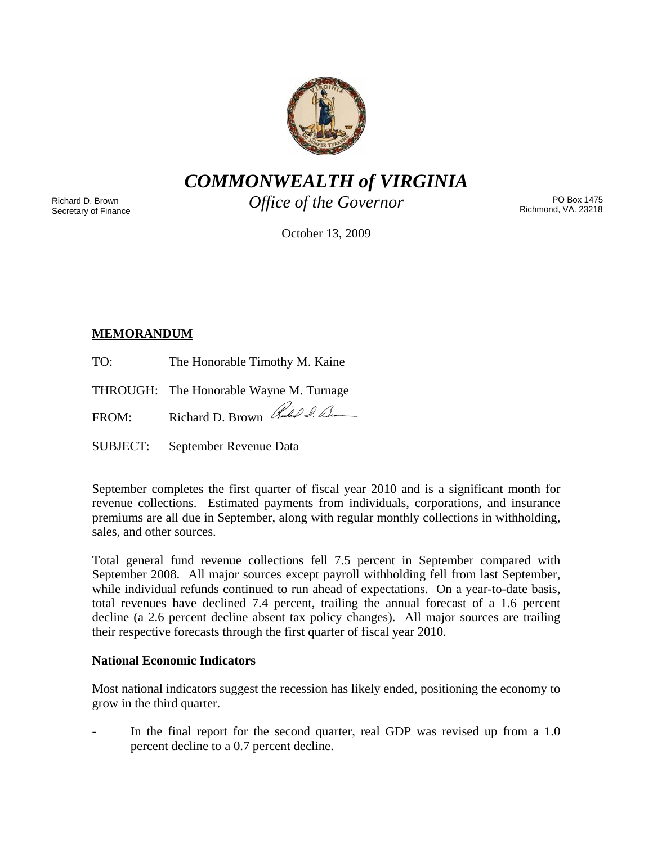

*COMMONWEALTH of VIRGINIA* 

Richard D. Brown Secretary of Finance *Office of the Governor* 

PO Box 1475 Richmond, VA. 23218

October 13, 2009

# **MEMORANDUM**

TO: The Honorable Timothy M. Kaine

THROUGH: The Honorable Wayne M. Turnage

FROM: Richard D. Brown Richard

SUBJECT: September Revenue Data

September completes the first quarter of fiscal year 2010 and is a significant month for revenue collections. Estimated payments from individuals, corporations, and insurance premiums are all due in September, along with regular monthly collections in withholding, sales, and other sources.

Total general fund revenue collections fell 7.5 percent in September compared with September 2008. All major sources except payroll withholding fell from last September, while individual refunds continued to run ahead of expectations. On a year-to-date basis, total revenues have declined 7.4 percent, trailing the annual forecast of a 1.6 percent decline (a 2.6 percent decline absent tax policy changes). All major sources are trailing their respective forecasts through the first quarter of fiscal year 2010.

# **National Economic Indicators**

Most national indicators suggest the recession has likely ended, positioning the economy to grow in the third quarter.

In the final report for the second quarter, real GDP was revised up from a 1.0 percent decline to a 0.7 percent decline.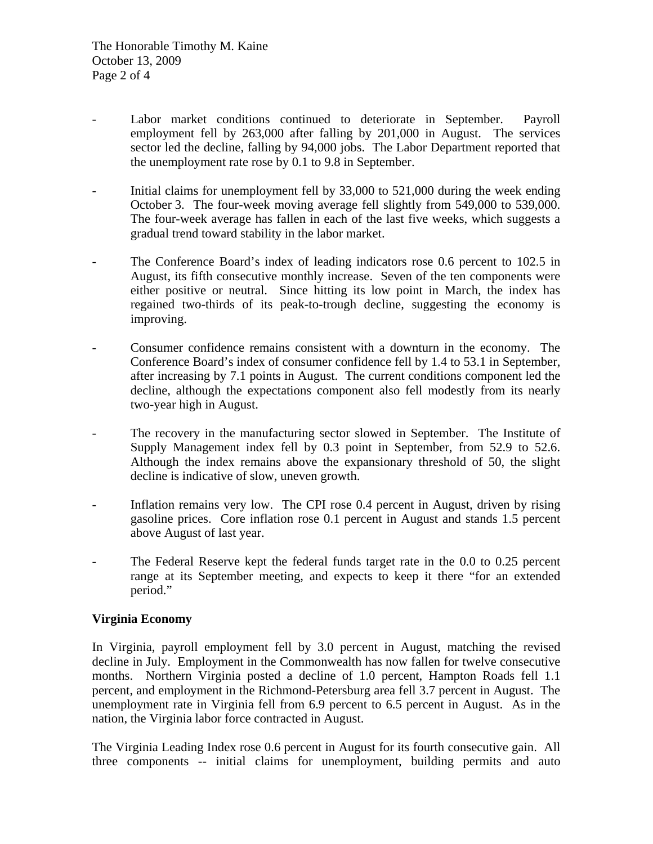- Labor market conditions continued to deteriorate in September. Payroll employment fell by 263,000 after falling by 201,000 in August. The services sector led the decline, falling by 94,000 jobs. The Labor Department reported that the unemployment rate rose by 0.1 to 9.8 in September.
- Initial claims for unemployment fell by 33,000 to 521,000 during the week ending October 3. The four-week moving average fell slightly from 549,000 to 539,000. The four-week average has fallen in each of the last five weeks, which suggests a gradual trend toward stability in the labor market.
- The Conference Board's index of leading indicators rose 0.6 percent to 102.5 in August, its fifth consecutive monthly increase. Seven of the ten components were either positive or neutral. Since hitting its low point in March, the index has regained two-thirds of its peak-to-trough decline, suggesting the economy is improving.
- Consumer confidence remains consistent with a downturn in the economy. The Conference Board's index of consumer confidence fell by 1.4 to 53.1 in September, after increasing by 7.1 points in August. The current conditions component led the decline, although the expectations component also fell modestly from its nearly two-year high in August.
- The recovery in the manufacturing sector slowed in September. The Institute of Supply Management index fell by 0.3 point in September, from 52.9 to 52.6. Although the index remains above the expansionary threshold of 50, the slight decline is indicative of slow, uneven growth.
- Inflation remains very low. The CPI rose 0.4 percent in August, driven by rising gasoline prices. Core inflation rose 0.1 percent in August and stands 1.5 percent above August of last year.
- The Federal Reserve kept the federal funds target rate in the 0.0 to 0.25 percent range at its September meeting, and expects to keep it there "for an extended period."

## **Virginia Economy**

In Virginia, payroll employment fell by 3.0 percent in August, matching the revised decline in July. Employment in the Commonwealth has now fallen for twelve consecutive months. Northern Virginia posted a decline of 1.0 percent, Hampton Roads fell 1.1 percent, and employment in the Richmond-Petersburg area fell 3.7 percent in August. The unemployment rate in Virginia fell from 6.9 percent to 6.5 percent in August. As in the nation, the Virginia labor force contracted in August.

The Virginia Leading Index rose 0.6 percent in August for its fourth consecutive gain. All three components -- initial claims for unemployment, building permits and auto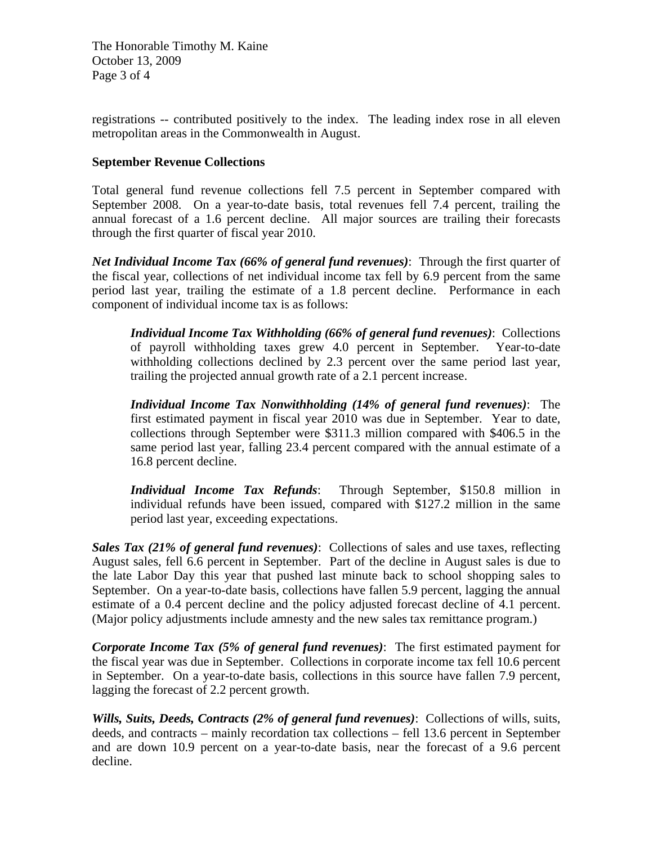The Honorable Timothy M. Kaine October 13, 2009 Page 3 of 4

registrations -- contributed positively to the index. The leading index rose in all eleven metropolitan areas in the Commonwealth in August.

#### **September Revenue Collections**

Total general fund revenue collections fell 7.5 percent in September compared with September 2008. On a year-to-date basis, total revenues fell 7.4 percent, trailing the annual forecast of a 1.6 percent decline. All major sources are trailing their forecasts through the first quarter of fiscal year 2010.

*Net Individual Income Tax (66% of general fund revenues)*: Through the first quarter of the fiscal year, collections of net individual income tax fell by 6.9 percent from the same period last year, trailing the estimate of a 1.8 percent decline. Performance in each component of individual income tax is as follows:

*Individual Income Tax Withholding (66% of general fund revenues)*: Collections of payroll withholding taxes grew 4.0 percent in September. Year-to-date withholding collections declined by 2.3 percent over the same period last year, trailing the projected annual growth rate of a 2.1 percent increase.

*Individual Income Tax Nonwithholding (14% of general fund revenues)*: The first estimated payment in fiscal year 2010 was due in September. Year to date, collections through September were \$311.3 million compared with \$406.5 in the same period last year, falling 23.4 percent compared with the annual estimate of a 16.8 percent decline.

*Individual Income Tax Refunds*: Through September, \$150.8 million in individual refunds have been issued, compared with \$127.2 million in the same period last year, exceeding expectations.

*Sales Tax (21% of general fund revenues)*: Collections of sales and use taxes, reflecting August sales, fell 6.6 percent in September. Part of the decline in August sales is due to the late Labor Day this year that pushed last minute back to school shopping sales to September. On a year-to-date basis, collections have fallen 5.9 percent, lagging the annual estimate of a 0.4 percent decline and the policy adjusted forecast decline of 4.1 percent. (Major policy adjustments include amnesty and the new sales tax remittance program.)

*Corporate Income Tax (5% of general fund revenues)*: The first estimated payment for the fiscal year was due in September. Collections in corporate income tax fell 10.6 percent in September. On a year-to-date basis, collections in this source have fallen 7.9 percent, lagging the forecast of 2.2 percent growth.

*Wills, Suits, Deeds, Contracts (2% of general fund revenues)*: Collections of wills, suits, deeds, and contracts – mainly recordation tax collections – fell 13.6 percent in September and are down 10.9 percent on a year-to-date basis, near the forecast of a 9.6 percent decline.